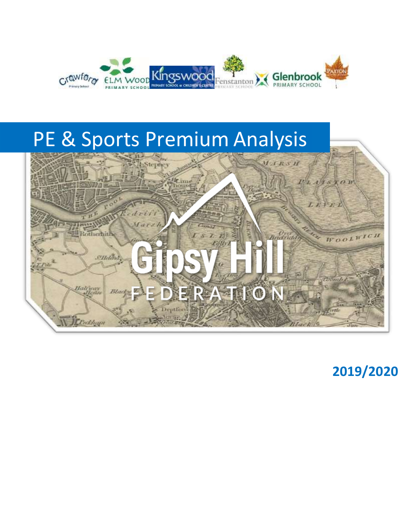

# PE & Sports Premium Analysis



**2019/2020**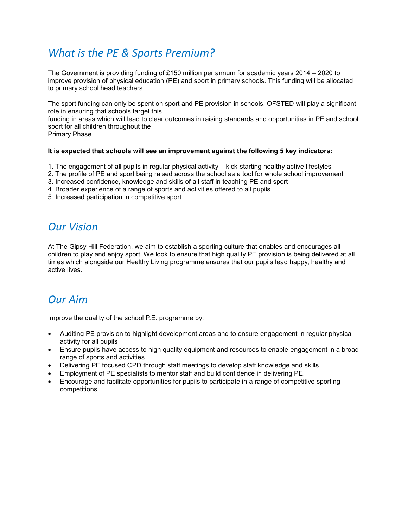# *What is the PE & Sports Premium?*

The Government is providing funding of £150 million per annum for academic years 2014 – 2020 to improve provision of physical education (PE) and sport in primary schools. This funding will be allocated to primary school head teachers.

The sport funding can only be spent on sport and PE provision in schools. OFSTED will play a significant role in ensuring that schools target this

funding in areas which will lead to clear outcomes in raising standards and opportunities in PE and school sport for all children throughout the

Primary Phase.

# **It is expected that schools will see an improvement against the following 5 key indicators:**

- 1. The engagement of all pupils in regular physical activity kick-starting healthy active lifestyles
- 2. The profile of PE and sport being raised across the school as a tool for whole school improvement
- 3. Increased confidence, knowledge and skills of all staff in teaching PE and sport
- 4. Broader experience of a range of sports and activities offered to all pupils
- 5. Increased participation in competitive sport

# *Our Vision*

At The Gipsy Hill Federation, we aim to establish a sporting culture that enables and encourages all children to play and enjoy sport. We look to ensure that high quality PE provision is being delivered at all times which alongside our Healthy Living programme ensures that our pupils lead happy, healthy and active lives.

# *Our Aim*

Improve the quality of the school P.E. programme by:

- Auditing PE provision to highlight development areas and to ensure engagement in regular physical activity for all pupils
- Ensure pupils have access to high quality equipment and resources to enable engagement in a broad range of sports and activities
- Delivering PE focused CPD through staff meetings to develop staff knowledge and skills.
- Employment of PE specialists to mentor staff and build confidence in delivering PE.
- Encourage and facilitate opportunities for pupils to participate in a range of competitive sporting competitions.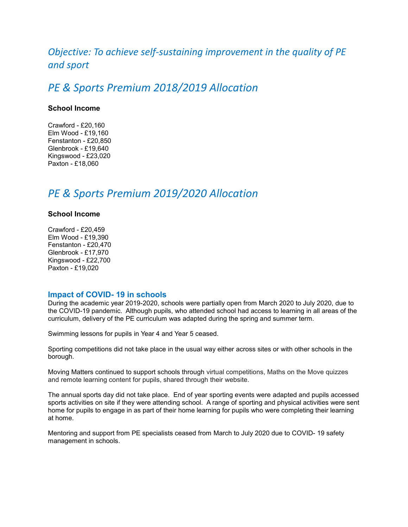# *Objective: To achieve self-sustaining improvement in the quality of PE and sport*

# *PE & Sports Premium 2018/2019 Allocation*

# **School Income**

Crawford - £20,160 Elm Wood - £19,160 Fenstanton - £20,850 Glenbrook - £19,640 Kingswood - £23,020 Paxton - £18,060

# *PE & Sports Premium 2019/2020 Allocation*

# **School Income**

Crawford - £20,459 Elm Wood - £19,390 Fenstanton - £20,470 Glenbrook - £17,970 Kingswood - £22,700 Paxton - £19,020

# **Impact of COVID- 19 in schools**

During the academic year 2019-2020, schools were partially open from March 2020 to July 2020, due to the COVID-19 pandemic. Although pupils, who attended school had access to learning in all areas of the curriculum, delivery of the PE curriculum was adapted during the spring and summer term.

Swimming lessons for pupils in Year 4 and Year 5 ceased.

Sporting competitions did not take place in the usual way either across sites or with other schools in the borough.

Moving Matters continued to support schools through virtual competitions, Maths on the Move quizzes and remote learning content for pupils, shared through their website.

The annual sports day did not take place. End of year sporting events were adapted and pupils accessed sports activities on site if they were attending school. A range of sporting and physical activities were sent home for pupils to engage in as part of their home learning for pupils who were completing their learning at home.

Mentoring and support from PE specialists ceased from March to July 2020 due to COVID- 19 safety management in schools.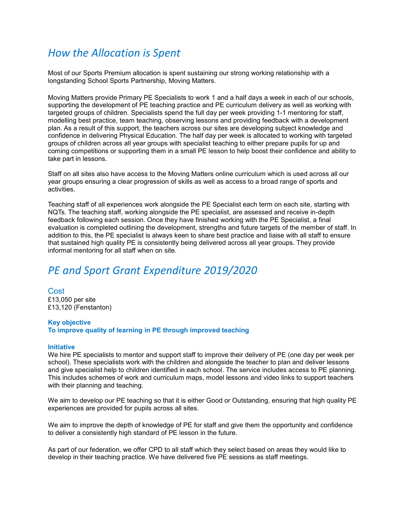# *How the Allocation is Spent*

Most of our Sports Premium allocation is spent sustaining our strong working relationship with a longstanding School Sports Partnership, Moving Matters.

Moving Matters provide Primary PE Specialists to work 1 and a half days a week in each of our schools, supporting the development of PE teaching practice and PE curriculum delivery as well as working with targeted groups of children. Specialists spend the full day per week providing 1-1 mentoring for staff, modelling best practice, team teaching, observing lessons and providing feedback with a development plan. As a result of this support, the teachers across our sites are developing subject knowledge and confidence in delivering Physical Education. The half day per week is allocated to working with targeted groups of children across all year groups with specialist teaching to either prepare pupils for up and coming competitions or supporting them in a small PE lesson to help boost their confidence and ability to take part in lessons.

Staff on all sites also have access to the Moving Matters online curriculum which is used across all our year groups ensuring a clear progression of skills as well as access to a broad range of sports and activities.

Teaching staff of all experiences work alongside the PE Specialist each term on each site, starting with NQTs. The teaching staff, working alongside the PE specialist, are assessed and receive in-depth feedback following each session. Once they have finished working with the PE Specialist, a final evaluation is completed outlining the development, strengths and future targets of the member of staff. In addition to this, the PE specialist is always keen to share best practice and liaise with all staff to ensure that sustained high quality PE is consistently being delivered across all year groups. They provide informal mentoring for all staff when on site.

# *PE and Sport Grant Expenditure 2019/2020*

Cost £13,050 per site £13,120 (Fenstanton)

#### **Key objective**

**To improve quality of learning in PE through improved teaching**

#### **Initiative**

We hire PE specialists to mentor and support staff to improve their delivery of PE (one day per week per school). These specialists work with the children and alongside the teacher to plan and deliver lessons and give specialist help to children identified in each school. The service includes access to PE planning. This includes schemes of work and curriculum maps, model lessons and video links to support teachers with their planning and teaching.

We aim to develop our PE teaching so that it is either Good or Outstanding, ensuring that high quality PE experiences are provided for pupils across all sites.

We aim to improve the depth of knowledge of PE for staff and give them the opportunity and confidence to deliver a consistently high standard of PE lesson in the future.

As part of our federation, we offer CPD to all staff which they select based on areas they would like to develop in their teaching practice. We have delivered five PE sessions as staff meetings.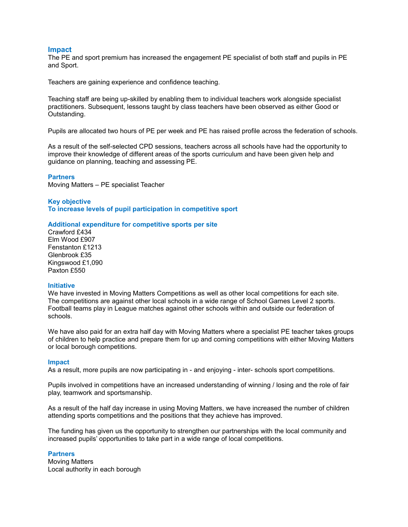# **Impact**

The PE and sport premium has increased the engagement PE specialist of both staff and pupils in PE and Sport.

Teachers are gaining experience and confidence teaching.

Teaching staff are being up-skilled by enabling them to individual teachers work alongside specialist practitioners. Subsequent, lessons taught by class teachers have been observed as either Good or Outstanding.

Pupils are allocated two hours of PE per week and PE has raised profile across the federation of schools.

As a result of the self-selected CPD sessions, teachers across all schools have had the opportunity to improve their knowledge of different areas of the sports curriculum and have been given help and guidance on planning, teaching and assessing PE.

#### **Partners**

Moving Matters – PE specialist Teacher

### **Key objective**

**To increase levels of pupil participation in competitive sport**

#### **Additional expenditure for competitive sports per site**

Crawford £434 Elm Wood £907 Fenstanton £1213 Glenbrook £35 Kingswood £1,090 Paxton £550

### **Initiative**

We have invested in Moving Matters Competitions as well as other local competitions for each site. The competitions are against other local schools in a wide range of School Games Level 2 sports. Football teams play in League matches against other schools within and outside our federation of schools.

We have also paid for an extra half day with Moving Matters where a specialist PE teacher takes groups of children to help practice and prepare them for up and coming competitions with either Moving Matters or local borough competitions.

#### **Impact**

As a result, more pupils are now participating in - and enjoying - inter- schools sport competitions.

Pupils involved in competitions have an increased understanding of winning / losing and the role of fair play, teamwork and sportsmanship.

As a result of the half day increase in using Moving Matters, we have increased the number of children attending sports competitions and the positions that they achieve has improved.

The funding has given us the opportunity to strengthen our partnerships with the local community and increased pupils' opportunities to take part in a wide range of local competitions.

### **Partners**

Moving Matters Local authority in each borough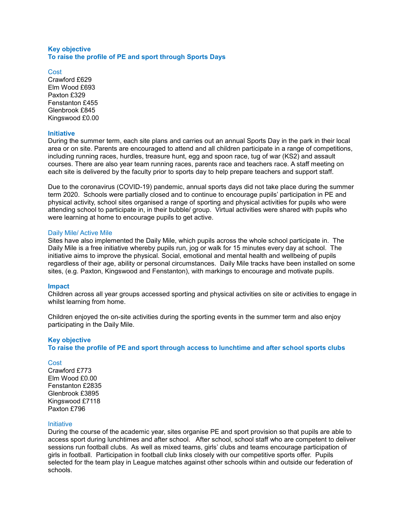# **Key objective To raise the profile of PE and sport through Sports Days**

Cost Crawford £629 Elm Wood £693 Paxton £329 Fenstanton £455 Glenbrook £845 Kingswood £0.00

# **Initiative**

During the summer term, each site plans and carries out an annual Sports Day in the park in their local area or on site. Parents are encouraged to attend and all children participate in a range of competitions, including running races, hurdles, treasure hunt, egg and spoon race, tug of war (KS2) and assault courses. There are also year team running races, parents race and teachers race. A staff meeting on each site is delivered by the faculty prior to sports day to help prepare teachers and support staff.

Due to the coronavirus (COVID-19) pandemic, annual sports days did not take place during the summer term 2020. Schools were partially closed and to continue to encourage pupils' participation in PE and physical activity, school sites organised a range of sporting and physical activities for pupils who were attending school to participate in, in their bubble/ group. Virtual activities were shared with pupils who were learning at home to encourage pupils to get active.

### Daily Mile/ Active Mile

Sites have also implemented the Daily Mile, which pupils across the whole school participate in. The Daily Mile is a free initiative whereby pupils run, jog or walk for 15 minutes every day at school. The initiative aims to improve the physical. Social, emotional and mental health and wellbeing of pupils regardless of their age, ability or personal circumstances. Daily Mile tracks have been installed on some sites, (e.g. Paxton, Kingswood and Fenstanton), with markings to encourage and motivate pupils.

#### **Impact**

Children across all year groups accessed sporting and physical activities on site or activities to engage in whilst learning from home.

Children enjoyed the on-site activities during the sporting events in the summer term and also enjoy participating in the Daily Mile.

# **Key objective**

**To raise the profile of PE and sport through access to lunchtime and after school sports clubs**

#### **Cost**

Crawford £773 Elm Wood £0.00 Fenstanton £2835 Glenbrook £3895 Kingswood £7118 Paxton £796

#### Initiative

During the course of the academic year, sites organise PE and sport provision so that pupils are able to access sport during lunchtimes and after school. After school, school staff who are competent to deliver sessions run football clubs. As well as mixed teams, girls' clubs and teams encourage participation of girls in football. Participation in football club links closely with our competitive sports offer. Pupils selected for the team play in League matches against other schools within and outside our federation of schools.